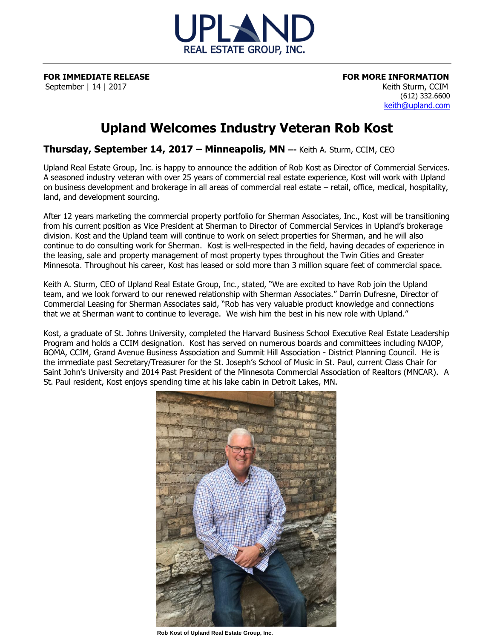

**FOR IMMEDIATE RELEASE FOR MORE INFORMATION** September | 14 | 2017 | November | 14 | 2017 | Keith Sturm, CCIM

 (612) 332.6600 [keith@upland.com](mailto:keith@upland.com)

## **Upland Welcomes Industry Veteran Rob Kost**

**Thursday, September 14, 2017 – Minneapolis, MN –-** Keith A. Sturm, CCIM, CEO

Upland Real Estate Group, Inc. is happy to announce the addition of Rob Kost as Director of Commercial Services. A seasoned industry veteran with over 25 years of commercial real estate experience, Kost will work with Upland on business development and brokerage in all areas of commercial real estate – retail, office, medical, hospitality, land, and development sourcing.

After 12 years marketing the commercial property portfolio for Sherman Associates, Inc., Kost will be transitioning from his current position as Vice President at Sherman to Director of Commercial Services in Upland's brokerage division. Kost and the Upland team will continue to work on select properties for Sherman, and he will also continue to do consulting work for Sherman. Kost is well-respected in the field, having decades of experience in the leasing, sale and property management of most property types throughout the Twin Cities and Greater Minnesota. Throughout his career, Kost has leased or sold more than 3 million square feet of commercial space.

Keith A. Sturm, CEO of Upland Real Estate Group, Inc., stated, "We are excited to have Rob join the Upland team, and we look forward to our renewed relationship with Sherman Associates." Darrin Dufresne, Director of Commercial Leasing for Sherman Associates said, "Rob has very valuable product knowledge and connections that we at Sherman want to continue to leverage. We wish him the best in his new role with Upland."

Kost, a graduate of St. Johns University, completed the Harvard Business School Executive Real Estate Leadership Program and holds a CCIM designation. Kost has served on numerous boards and committees including NAIOP, BOMA, CCIM, Grand Avenue Business Association and Summit Hill Association - District Planning Council. He is the immediate past Secretary/Treasurer for the St. Joseph's School of Music in St. Paul, current Class Chair for Saint John's University and 2014 Past President of the Minnesota Commercial Association of Realtors (MNCAR). A St. Paul resident, Kost enjoys spending time at his lake cabin in Detroit Lakes, MN.



**Rob Kost of Upland Real Estate Group, Inc.**